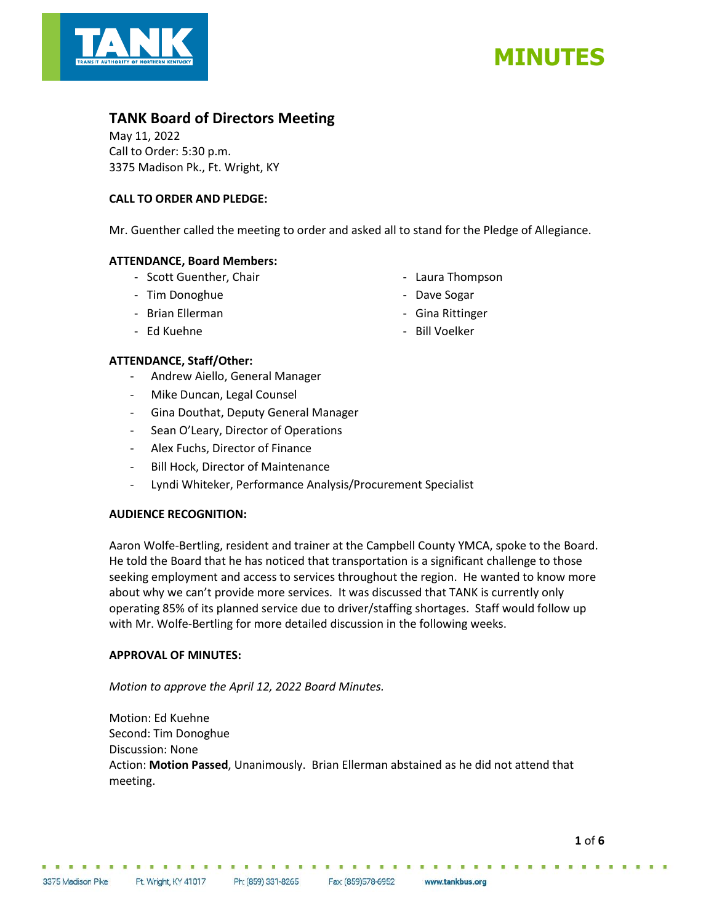



## **TANK Board of Directors Meeting**

May 11, 2022 Call to Order: 5:30 p.m. 3375 Madison Pk., Ft. Wright, KY

## **CALL TO ORDER AND PLEDGE:**

Mr. Guenther called the meeting to order and asked all to stand for the Pledge of Allegiance.

## **ATTENDANCE, Board Members:**

- Scott Guenther, Chair
- Tim Donoghue
- Brian Ellerman
- Ed Kuehne
- Laura Thompson
- Dave Sogar
- Gina Rittinger
- Bill Voelker

## **ATTENDANCE, Staff/Other:**

- Andrew Aiello, General Manager
- Mike Duncan, Legal Counsel
- Gina Douthat, Deputy General Manager
- Sean O'Leary, Director of Operations
- Alex Fuchs, Director of Finance
- Bill Hock, Director of Maintenance
- Lyndi Whiteker, Performance Analysis/Procurement Specialist

## **AUDIENCE RECOGNITION:**

Aaron Wolfe-Bertling, resident and trainer at the Campbell County YMCA, spoke to the Board. He told the Board that he has noticed that transportation is a significant challenge to those seeking employment and access to services throughout the region. He wanted to know more about why we can't provide more services. It was discussed that TANK is currently only operating 85% of its planned service due to driver/staffing shortages. Staff would follow up with Mr. Wolfe-Bertling for more detailed discussion in the following weeks.

## **APPROVAL OF MINUTES:**

*Motion to approve the April 12, 2022 Board Minutes.*

Motion: Ed Kuehne Second: Tim Donoghue Discussion: None Action: **Motion Passed**, Unanimously. Brian Ellerman abstained as he did not attend that meeting.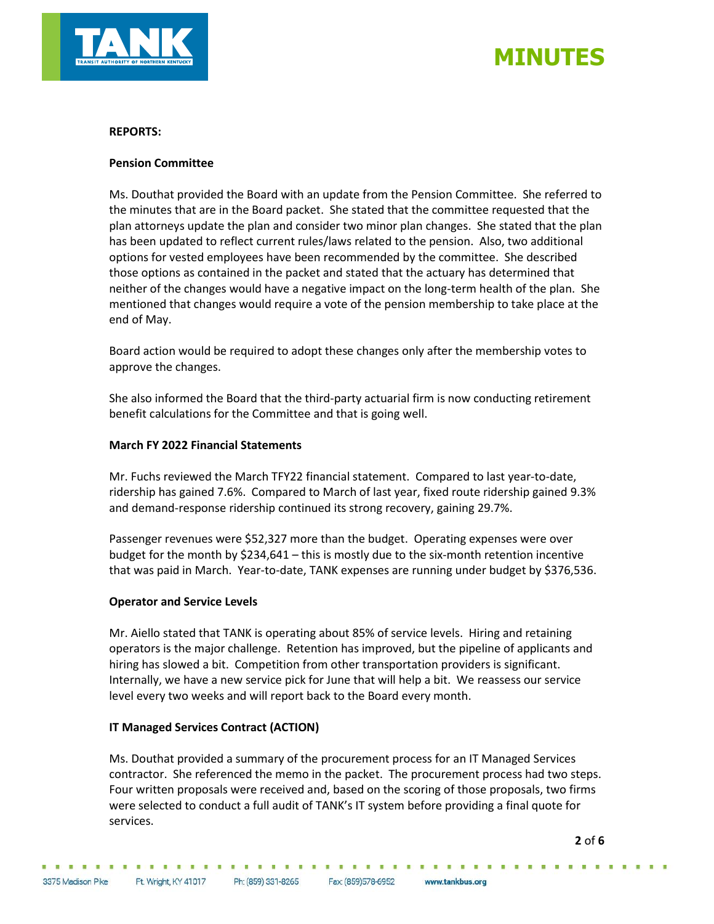

# **MINUTES**

## **REPORTS:**

#### **Pension Committee**

Ms. Douthat provided the Board with an update from the Pension Committee. She referred to the minutes that are in the Board packet. She stated that the committee requested that the plan attorneys update the plan and consider two minor plan changes. She stated that the plan has been updated to reflect current rules/laws related to the pension. Also, two additional options for vested employees have been recommended by the committee. She described those options as contained in the packet and stated that the actuary has determined that neither of the changes would have a negative impact on the long-term health of the plan. She mentioned that changes would require a vote of the pension membership to take place at the end of May.

Board action would be required to adopt these changes only after the membership votes to approve the changes.

She also informed the Board that the third-party actuarial firm is now conducting retirement benefit calculations for the Committee and that is going well.

#### **March FY 2022 Financial Statements**

Mr. Fuchs reviewed the March TFY22 financial statement. Compared to last year-to-date, ridership has gained 7.6%. Compared to March of last year, fixed route ridership gained 9.3% and demand-response ridership continued its strong recovery, gaining 29.7%.

Passenger revenues were \$52,327 more than the budget. Operating expenses were over budget for the month by \$234,641 – this is mostly due to the six-month retention incentive that was paid in March. Year-to-date, TANK expenses are running under budget by \$376,536.

#### **Operator and Service Levels**

Mr. Aiello stated that TANK is operating about 85% of service levels. Hiring and retaining operators is the major challenge. Retention has improved, but the pipeline of applicants and hiring has slowed a bit. Competition from other transportation providers is significant. Internally, we have a new service pick for June that will help a bit. We reassess our service level every two weeks and will report back to the Board every month.

## **IT Managed Services Contract (ACTION)**

Ms. Douthat provided a summary of the procurement process for an IT Managed Services contractor. She referenced the memo in the packet. The procurement process had two steps. Four written proposals were received and, based on the scoring of those proposals, two firms were selected to conduct a full audit of TANK's IT system before providing a final quote for services.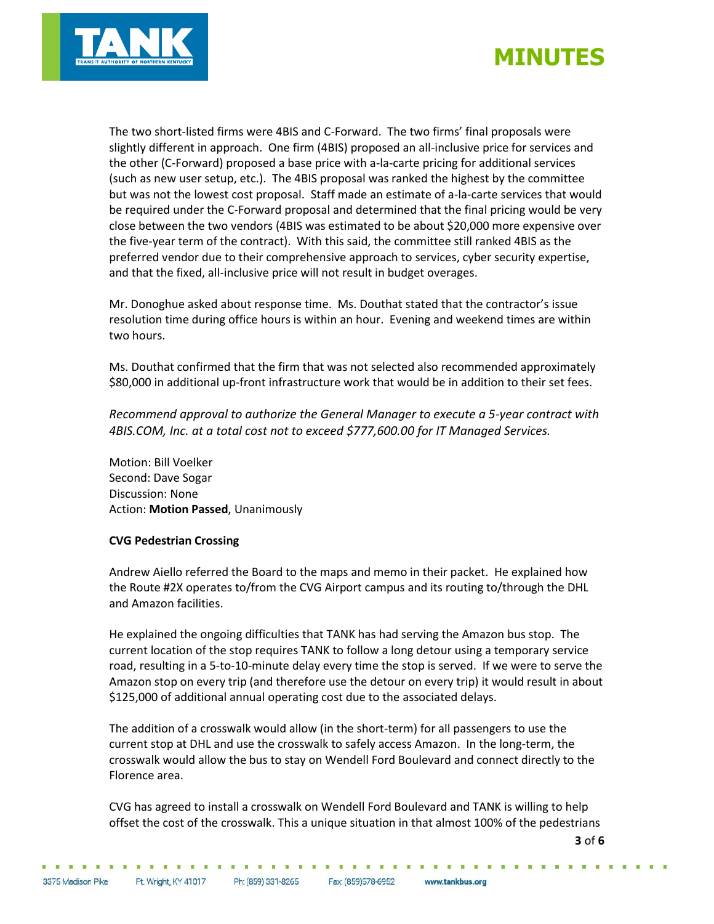



The two short-listed firms were 4BIS and C-Forward. The two firms' final proposals were slightly different in approach. One firm (4BIS) proposed an all-inclusive price for services and the other (C-Forward) proposed a base price with a-la-carte pricing for additional services (such as new user setup, etc.). The 4BIS proposal was ranked the highest by the committee but was not the lowest cost proposal. Staff made an estimate of a-la-carte services that would be required under the C-Forward proposal and determined that the final pricing would be very close between the two vendors (4BIS was estimated to be about \$20,000 more expensive over the five-year term of the contract). With this said, the committee still ranked 4BIS as the preferred vendor due to their comprehensive approach to services, cyber security expertise, and that the fixed, all-inclusive price will not result in budget overages.

Mr. Donoghue asked about response time. Ms. Douthat stated that the contractor's issue resolution time during office hours is within an hour. Evening and weekend times are within two hours.

Ms. Douthat confirmed that the firm that was not selected also recommended approximately \$80,000 in additional up-front infrastructure work that would be in addition to their set fees.

*Recommend approval to authorize the General Manager to execute a 5-year contract with 4BIS.COM, Inc. at a total cost not to exceed \$777,600.00 for IT Managed Services.*

Motion: Bill Voelker Second: Dave Sogar Discussion: None Action: **Motion Passed**, Unanimously

## **CVG Pedestrian Crossing**

Andrew Aiello referred the Board to the maps and memo in their packet. He explained how the Route #2X operates to/from the CVG Airport campus and its routing to/through the DHL and Amazon facilities.

He explained the ongoing difficulties that TANK has had serving the Amazon bus stop. The current location of the stop requires TANK to follow a long detour using a temporary service road, resulting in a 5-to-10-minute delay every time the stop is served. If we were to serve the Amazon stop on every trip (and therefore use the detour on every trip) it would result in about \$125,000 of additional annual operating cost due to the associated delays.

The addition of a crosswalk would allow (in the short-term) for all passengers to use the current stop at DHL and use the crosswalk to safely access Amazon. In the long-term, the crosswalk would allow the bus to stay on Wendell Ford Boulevard and connect directly to the Florence area.

CVG has agreed to install a crosswalk on Wendell Ford Boulevard and TANK is willing to help offset the cost of the crosswalk. This a unique situation in that almost 100% of the pedestrians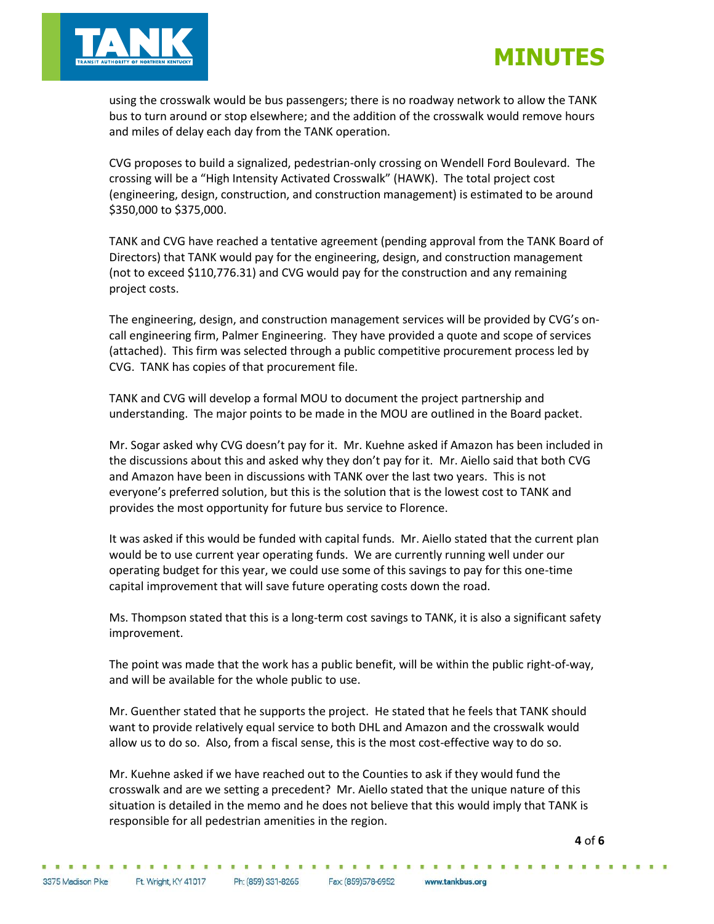



using the crosswalk would be bus passengers; there is no roadway network to allow the TANK bus to turn around or stop elsewhere; and the addition of the crosswalk would remove hours and miles of delay each day from the TANK operation.

CVG proposes to build a signalized, pedestrian-only crossing on Wendell Ford Boulevard. The crossing will be a "High Intensity Activated Crosswalk" (HAWK). The total project cost (engineering, design, construction, and construction management) is estimated to be around \$350,000 to \$375,000.

TANK and CVG have reached a tentative agreement (pending approval from the TANK Board of Directors) that TANK would pay for the engineering, design, and construction management (not to exceed \$110,776.31) and CVG would pay for the construction and any remaining project costs.

The engineering, design, and construction management services will be provided by CVG's oncall engineering firm, Palmer Engineering. They have provided a quote and scope of services (attached). This firm was selected through a public competitive procurement process led by CVG. TANK has copies of that procurement file.

TANK and CVG will develop a formal MOU to document the project partnership and understanding. The major points to be made in the MOU are outlined in the Board packet.

Mr. Sogar asked why CVG doesn't pay for it. Mr. Kuehne asked if Amazon has been included in the discussions about this and asked why they don't pay for it. Mr. Aiello said that both CVG and Amazon have been in discussions with TANK over the last two years. This is not everyone's preferred solution, but this is the solution that is the lowest cost to TANK and provides the most opportunity for future bus service to Florence.

It was asked if this would be funded with capital funds. Mr. Aiello stated that the current plan would be to use current year operating funds. We are currently running well under our operating budget for this year, we could use some of this savings to pay for this one-time capital improvement that will save future operating costs down the road.

Ms. Thompson stated that this is a long-term cost savings to TANK, it is also a significant safety improvement.

The point was made that the work has a public benefit, will be within the public right-of-way, and will be available for the whole public to use.

Mr. Guenther stated that he supports the project. He stated that he feels that TANK should want to provide relatively equal service to both DHL and Amazon and the crosswalk would allow us to do so. Also, from a fiscal sense, this is the most cost-effective way to do so.

Mr. Kuehne asked if we have reached out to the Counties to ask if they would fund the crosswalk and are we setting a precedent? Mr. Aiello stated that the unique nature of this situation is detailed in the memo and he does not believe that this would imply that TANK is responsible for all pedestrian amenities in the region.

**4** of **6**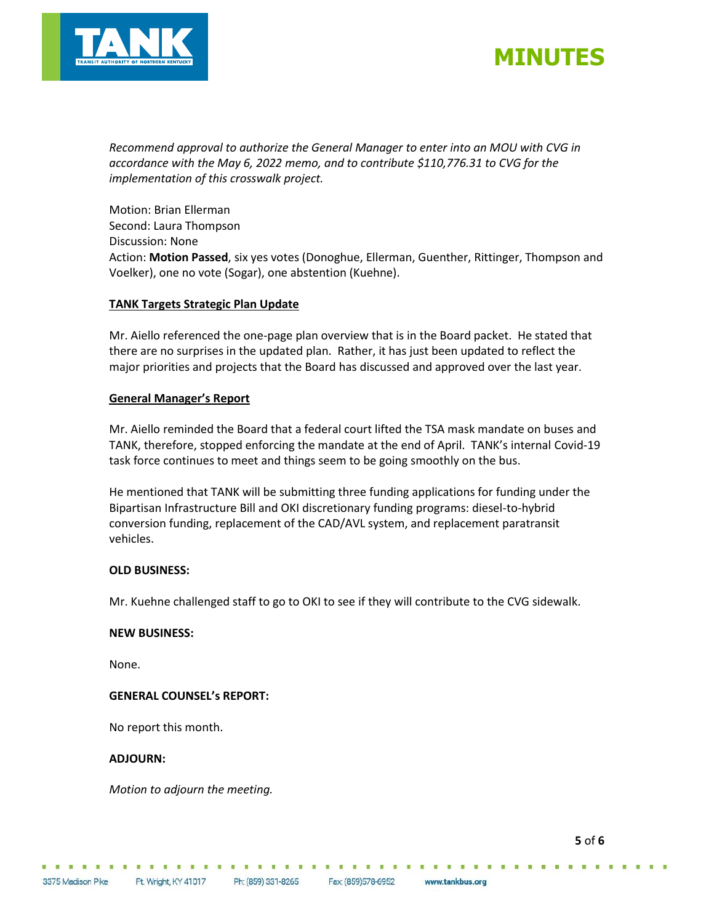



*Recommend approval to authorize the General Manager to enter into an MOU with CVG in accordance with the May 6, 2022 memo, and to contribute \$110,776.31 to CVG for the implementation of this crosswalk project.*

Motion: Brian Ellerman Second: Laura Thompson Discussion: None Action: **Motion Passed**, six yes votes (Donoghue, Ellerman, Guenther, Rittinger, Thompson and Voelker), one no vote (Sogar), one abstention (Kuehne).

#### **TANK Targets Strategic Plan Update**

Mr. Aiello referenced the one-page plan overview that is in the Board packet. He stated that there are no surprises in the updated plan. Rather, it has just been updated to reflect the major priorities and projects that the Board has discussed and approved over the last year.

#### **General Manager's Report**

Mr. Aiello reminded the Board that a federal court lifted the TSA mask mandate on buses and TANK, therefore, stopped enforcing the mandate at the end of April. TANK's internal Covid-19 task force continues to meet and things seem to be going smoothly on the bus.

He mentioned that TANK will be submitting three funding applications for funding under the Bipartisan Infrastructure Bill and OKI discretionary funding programs: diesel-to-hybrid conversion funding, replacement of the CAD/AVL system, and replacement paratransit vehicles.

## **OLD BUSINESS:**

Mr. Kuehne challenged staff to go to OKI to see if they will contribute to the CVG sidewalk.

#### **NEW BUSINESS:**

None.

#### **GENERAL COUNSEL's REPORT:**

No report this month.

#### **ADJOURN:**

*Motion to adjourn the meeting.*